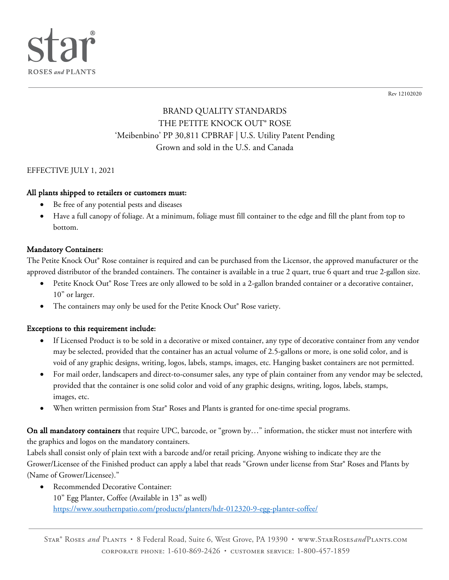

Rev 12102020

# BRAND QUALITY STANDARDS THE PETITE KNOCK OUT® ROSE 'Meibenbino' PP 30,811 CPBRAF | U.S. Utility Patent Pending Grown and sold in the U.S. and Canada

### EFFECTIVE JULY 1, 2021

### All plants shipped to retailers or customers must:

- Be free of any potential pests and diseases
- Have a full canopy of foliage. At a minimum, foliage must fill container to the edge and fill the plant from top to bottom.

### Mandatory Containers:

The Petite Knock Out® Rose container is required and can be purchased from the Licensor, the approved manufacturer or the approved distributor of the branded containers. The container is available in a true 2 quart, true 6 quart and true 2-gallon size.

- Petite Knock Out® Rose Trees are only allowed to be sold in a 2-gallon branded container or a decorative container, 10" or larger.
- The containers may only be used for the Petite Knock Out® Rose variety.

### Exceptions to this requirement include:

- If Licensed Product is to be sold in a decorative or mixed container, any type of decorative container from any vendor may be selected, provided that the container has an actual volume of 2.5-gallons or more, is one solid color, and is void of any graphic designs, writing, logos, labels, stamps, images, etc. Hanging basket containers are not permitted.
- For mail order, landscapers and direct-to-consumer sales, any type of plain container from any vendor may be selected, provided that the container is one solid color and void of any graphic designs, writing, logos, labels, stamps, images, etc.
- When written permission from Star<sup>®</sup> Roses and Plants is granted for one-time special programs.

On all mandatory containers that require UPC, barcode, or "grown by..." information, the sticker must not interfere with the graphics and logos on the mandatory containers.

Labels shall consist only of plain text with a barcode and/or retail pricing. Anyone wishing to indicate they are the Grower/Licensee of the Finished product can apply a label that reads "Grown under license from Star® Roses and Plants by (Name of Grower/Licensee)."

Recommended Decorative Container: 10" Egg Planter, Coffee (Available in 13" as well) https://www.southernpatio.com/products/planters/hdr-012320-9-egg-planter-coffee/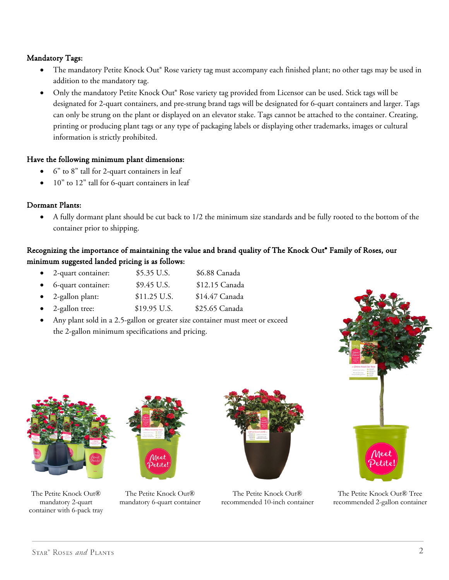## Mandatory Tags:

- The mandatory Petite Knock Out® Rose variety tag must accompany each finished plant; no other tags may be used in addition to the mandatory tag.
- Only the mandatory Petite Knock Out® Rose variety tag provided from Licensor can be used. Stick tags will be designated for 2-quart containers, and pre-strung brand tags will be designated for 6-quart containers and larger. Tags can only be strung on the plant or displayed on an elevator stake. Tags cannot be attached to the container. Creating, printing or producing plant tags or any type of packaging labels or displaying other trademarks, images or cultural information is strictly prohibited.

### Have the following minimum plant dimensions:

- 6" to 8" tall for 2-quart containers in leaf
- 10" to 12" tall for 6-quart containers in leaf

#### Dormant Plants:

• A fully dormant plant should be cut back to 1/2 the minimum size standards and be fully rooted to the bottom of the container prior to shipping.

## Recognizing the importance of maintaining the value and brand quality of The Knock Out<sup>®</sup> Family of Roses, our minimum suggested landed pricing is as follows:

- 2-quart container: \$5.35 U.S. \$6.88 Canada
- 6-quart container: \$9.45 U.S. \$12.15 Canada
- 2-gallon plant: \$11.25 U.S. \$14.47 Canada
- 2-gallon tree: \$19.95 U.S. \$25.65 Canada
- Any plant sold in a 2.5-gallon or greater size container must meet or exceed the 2-gallon minimum specifications and pricing.



The Petite Knock Out® mandatory 2-quart container with 6-pack tray



The Petite Knock Out® mandatory 6-quart container



The Petite Knock Out® recommended 10-inch container

The Petite Knock Out® Tree recommended 2-gallon container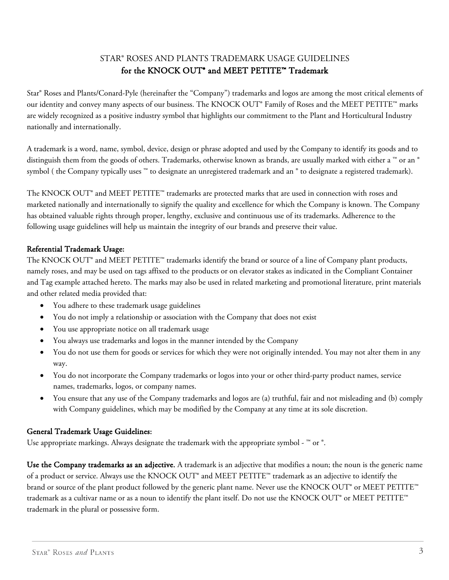## STAR® ROSES AND PLANTS TRADEMARK USAGE GUIDELINES for the KNOCK OUT<sup>®</sup> and MEET PETITE™ Trademark

Star® Roses and Plants/Conard-Pyle (hereinafter the "Company") trademarks and logos are among the most critical elements of our identity and convey many aspects of our business. The KNOCK OUT® Family of Roses and the MEET PETITE™ marks are widely recognized as a positive industry symbol that highlights our commitment to the Plant and Horticultural Industry nationally and internationally.

A trademark is a word, name, symbol, device, design or phrase adopted and used by the Company to identify its goods and to distinguish them from the goods of others. Trademarks, otherwise known as brands, are usually marked with either a ™ or an ® symbol ( the Company typically uses ™ to designate an unregistered trademark and an ® to designate a registered trademark).

The KNOCK OUT® and MEET PETITE™ trademarks are protected marks that are used in connection with roses and marketed nationally and internationally to signify the quality and excellence for which the Company is known. The Company has obtained valuable rights through proper, lengthy, exclusive and continuous use of its trademarks. Adherence to the following usage guidelines will help us maintain the integrity of our brands and preserve their value.

## Referential Trademark Usage:

The KNOCK OUT® and MEET  $PETITE^{n\alpha}$  trademarks identify the brand or source of a line of Company plant products, namely roses, and may be used on tags affixed to the products or on elevator stakes as indicated in the Compliant Container and Tag example attached hereto. The marks may also be used in related marketing and promotional literature, print materials and other related media provided that:

- You adhere to these trademark usage guidelines
- You do not imply a relationship or association with the Company that does not exist
- You use appropriate notice on all trademark usage
- You always use trademarks and logos in the manner intended by the Company
- You do not use them for goods or services for which they were not originally intended. You may not alter them in any way.
- You do not incorporate the Company trademarks or logos into your or other third-party product names, service names, trademarks, logos, or company names.
- You ensure that any use of the Company trademarks and logos are (a) truthful, fair and not misleading and (b) comply with Company guidelines, which may be modified by the Company at any time at its sole discretion.

## General Trademark Usage Guidelines:

Use appropriate markings. Always designate the trademark with the appropriate symbol -  $^{\mathbb{N}}$  or  $^{\circ}$ .

Use the Company trademarks as an adjective. A trademark is an adjective that modifies a noun; the noun is the generic name of a product or service. Always use the KNOCK OUT® and MEET PETITE™ trademark as an adjective to identify the brand or source of the plant product followed by the generic plant name. Never use the KNOCK OUT® or MEET PETITE™ trademark as a cultivar name or as a noun to identify the plant itself. Do not use the KNOCK OUT® or MEET PETITE™ trademark in the plural or possessive form.